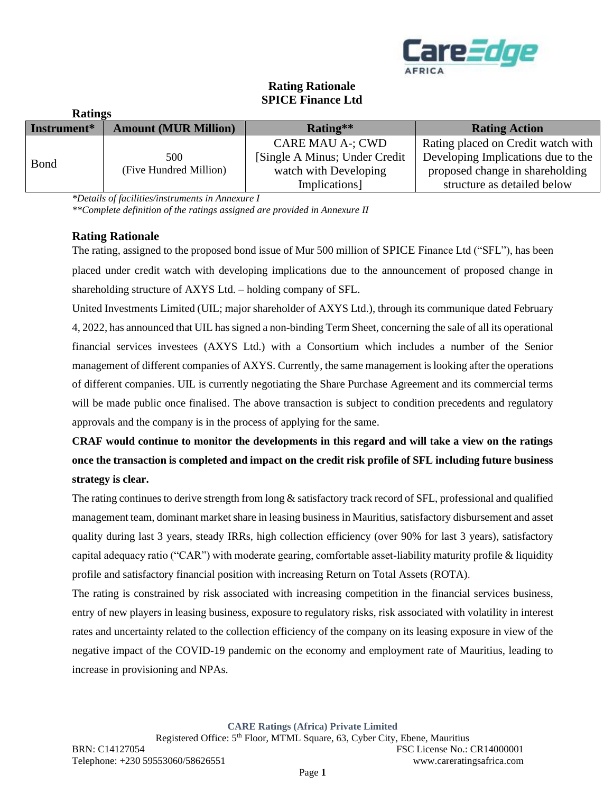

| <b>Ratings</b> |                               |                                |                                    |
|----------------|-------------------------------|--------------------------------|------------------------------------|
| Instrument*    | <b>Amount (MUR Million)</b>   | Rating**                       | <b>Rating Action</b>               |
|                |                               | <b>CARE MAU A-; CWD</b>        | Rating placed on Credit watch with |
| <b>Bond</b>    | 500<br>(Five Hundred Million) | [Single A Minus; Under Credit] | Developing Implications due to the |
|                |                               | watch with Developing          | proposed change in shareholding    |
|                |                               | Implications]                  | structure as detailed below        |

# **Rating Rationale SPICE Finance Ltd**

*\*Details of facilities/instruments in Annexure I*

*\*\*Complete definition of the ratings assigned are provided in Annexure II*

### **Rating Rationale**

The rating, assigned to the proposed bond issue of Mur 500 million of SPICE Finance Ltd ("SFL"), has been placed under credit watch with developing implications due to the announcement of proposed change in shareholding structure of AXYS Ltd. – holding company of SFL.

United Investments Limited (UIL; major shareholder of AXYS Ltd.), through its communique dated February 4, 2022, has announced that UIL has signed a non-binding Term Sheet, concerning the sale of all its operational financial services investees (AXYS Ltd.) with a Consortium which includes a number of the Senior management of different companies of AXYS. Currently, the same management is looking after the operations of different companies. UIL is currently negotiating the Share Purchase Agreement and its commercial terms will be made public once finalised. The above transaction is subject to condition precedents and regulatory approvals and the company is in the process of applying for the same.

# **CRAF would continue to monitor the developments in this regard and will take a view on the ratings once the transaction is completed and impact on the credit risk profile of SFL including future business strategy is clear.**

The rating continues to derive strength from long & satisfactory track record of SFL, professional and qualified management team, dominant market share in leasing business in Mauritius, satisfactory disbursement and asset quality during last 3 years, steady IRRs, high collection efficiency (over 90% for last 3 years), satisfactory capital adequacy ratio ("CAR") with moderate gearing, comfortable asset-liability maturity profile & liquidity profile and satisfactory financial position with increasing Return on Total Assets (ROTA).

The rating is constrained by risk associated with increasing competition in the financial services business, entry of new players in leasing business, exposure to regulatory risks, risk associated with volatility in interest rates and uncertainty related to the collection efficiency of the company on its leasing exposure in view of the negative impact of the COVID-19 pandemic on the economy and employment rate of Mauritius, leading to increase in provisioning and NPAs.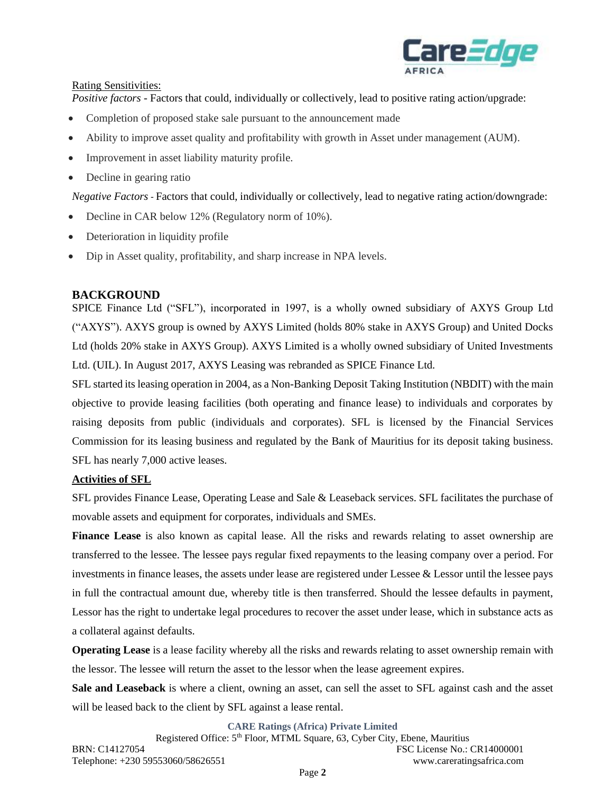

### Rating Sensitivities:

*Positive factors* - Factors that could, individually or collectively, lead to positive rating action/upgrade:

- Completion of proposed stake sale pursuant to the announcement made
- Ability to improve asset quality and profitability with growth in Asset under management (AUM).
- Improvement in asset liability maturity profile.
- Decline in gearing ratio

*Negative Factors -* Factors that could, individually or collectively, lead to negative rating action/downgrade:

- Decline in CAR below 12% (Regulatory norm of 10%).
- Deterioration in liquidity profile
- Dip in Asset quality, profitability, and sharp increase in NPA levels.

### **BACKGROUND**

SPICE Finance Ltd ("SFL"), incorporated in 1997, is a wholly owned subsidiary of AXYS Group Ltd ("AXYS"). AXYS group is owned by AXYS Limited (holds 80% stake in AXYS Group) and United Docks Ltd (holds 20% stake in AXYS Group). AXYS Limited is a wholly owned subsidiary of United Investments Ltd. (UIL). In August 2017, AXYS Leasing was rebranded as SPICE Finance Ltd.

SFL started its leasing operation in 2004, as a Non-Banking Deposit Taking Institution (NBDIT) with the main objective to provide leasing facilities (both operating and finance lease) to individuals and corporates by raising deposits from public (individuals and corporates). SFL is licensed by the Financial Services Commission for its leasing business and regulated by the Bank of Mauritius for its deposit taking business. SFL has nearly 7,000 active leases.

### **Activities of SFL**

SFL provides Finance Lease, Operating Lease and Sale & Leaseback services. SFL facilitates the purchase of movable assets and equipment for corporates, individuals and SMEs.

**Finance Lease** is also known as capital lease. All the risks and rewards relating to asset ownership are transferred to the lessee. The lessee pays regular fixed repayments to the leasing company over a period. For investments in finance leases, the assets under lease are registered under Lessee & Lessor until the lessee pays in full the contractual amount due, whereby title is then transferred. Should the lessee defaults in payment, Lessor has the right to undertake legal procedures to recover the asset under lease, which in substance acts as a collateral against defaults.

**Operating Lease** is a lease facility whereby all the risks and rewards relating to asset ownership remain with the lessor. The lessee will return the asset to the lessor when the lease agreement expires.

**Sale and Leaseback** is where a client, owning an asset, can sell the asset to SFL against cash and the asset will be leased back to the client by SFL against a lease rental.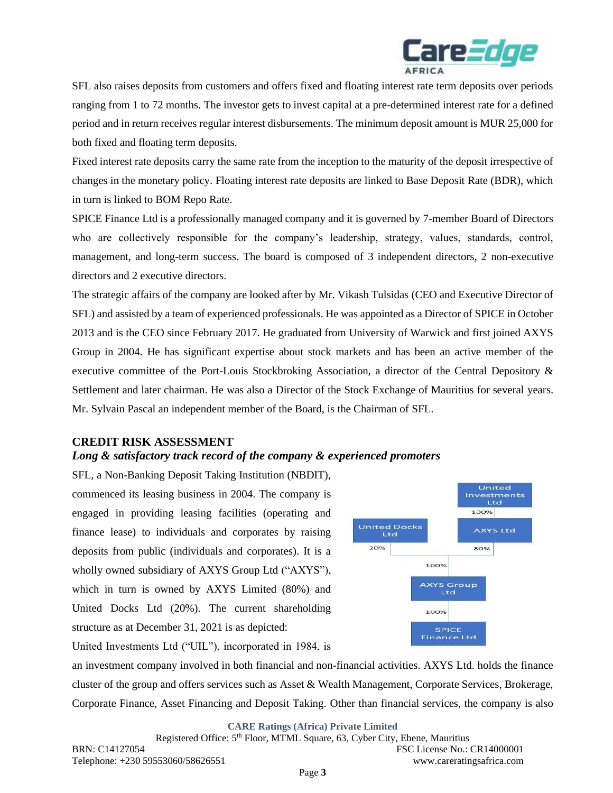

SFL also raises deposits from customers and offers fixed and floating interest rate term deposits over periods ranging from 1 to 72 months. The investor gets to invest capital at a pre-determined interest rate for a defined period and in return receives regular interest disbursements. The minimum deposit amount is MUR 25,000 for both fixed and floating term deposits.

Fixed interest rate deposits carry the same rate from the inception to the maturity of the deposit irrespective of changes in the monetary policy. Floating interest rate deposits are linked to Base Deposit Rate (BDR), which in turn is linked to BOM Repo Rate.

SPICE Finance Ltd is a professionally managed company and it is governed by 7-member Board of Directors who are collectively responsible for the company's leadership, strategy, values, standards, control, management, and long-term success. The board is composed of 3 independent directors, 2 non-executive directors and 2 executive directors.

The strategic affairs of the company are looked after by Mr. Vikash Tulsidas (CEO and Executive Director of SFL) and assisted by a team of experienced professionals. He was appointed as a Director of SPICE in October 2013 and is the CEO since February 2017. He graduated from University of Warwick and first joined AXYS Group in 2004. He has significant expertise about stock markets and has been an active member of the executive committee of the Port-Louis Stockbroking Association, a director of the Central Depository & Settlement and later chairman. He was also a Director of the Stock Exchange of Mauritius for several years. Mr. Sylvain Pascal an independent member of the Board, is the Chairman of SFL.

#### **CREDIT RISK ASSESSMENT**

#### *Long & satisfactory track record of the company & experienced promoters*

SFL, a Non-Banking Deposit Taking Institution (NBDIT), commenced its leasing business in 2004. The company is engaged in providing leasing facilities (operating and finance lease) to individuals and corporates by raising deposits from public (individuals and corporates). It is a wholly owned subsidiary of AXYS Group Ltd ("AXYS"), which in turn is owned by AXYS Limited (80%) and United Docks Ltd (20%). The current shareholding structure as at December 31, 2021 is as depicted:



United Investments Ltd ("UIL"), incorporated in 1984, is

an investment company involved in both financial and non-financial activities. AXYS Ltd. holds the finance cluster of the group and offers services such as Asset & Wealth Management, Corporate Services, Brokerage, Corporate Finance, Asset Financing and Deposit Taking. Other than financial services, the company is also

**CARE Ratings (Africa) Private Limited**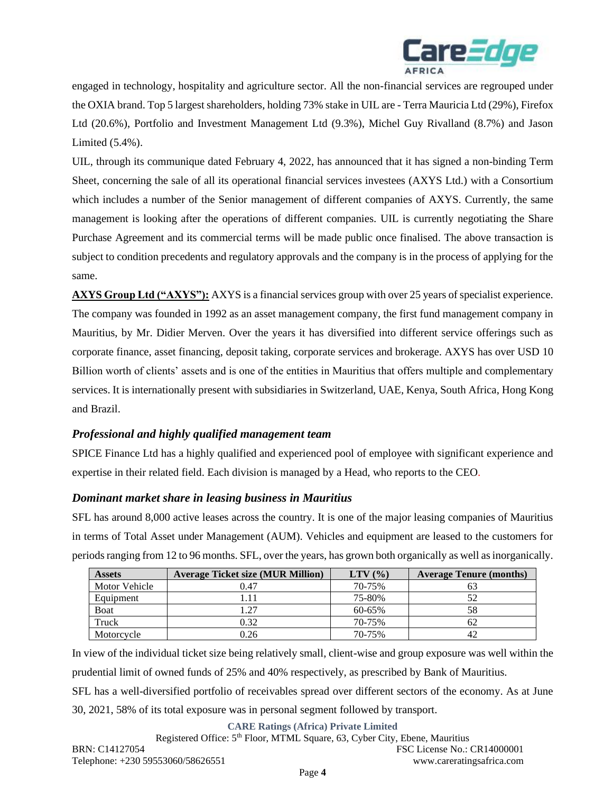

engaged in technology, hospitality and agriculture sector. All the non-financial services are regrouped under the OXIA brand. Top 5 largest shareholders, holding 73% stake in UIL are - Terra Mauricia Ltd (29%), Firefox Ltd (20.6%), Portfolio and Investment Management Ltd (9.3%), Michel Guy Rivalland (8.7%) and Jason Limited (5.4%).

UIL, through its communique dated February 4, 2022, has announced that it has signed a non-binding Term Sheet, concerning the sale of all its operational financial services investees (AXYS Ltd.) with a Consortium which includes a number of the Senior management of different companies of AXYS. Currently, the same management is looking after the operations of different companies. UIL is currently negotiating the Share Purchase Agreement and its commercial terms will be made public once finalised. The above transaction is subject to condition precedents and regulatory approvals and the company is in the process of applying for the same.

**AXYS Group Ltd ("AXYS"):** AXYS is a financial services group with over 25 years of specialist experience. The company was founded in 1992 as an asset management company, the first fund management company in Mauritius, by Mr. Didier Merven. Over the years it has diversified into different service offerings such as corporate finance, asset financing, deposit taking, corporate services and brokerage. AXYS has over USD 10 Billion worth of clients' assets and is one of the entities in Mauritius that offers multiple and complementary services. It is internationally present with subsidiaries in Switzerland, UAE, Kenya, South Africa, Hong Kong and Brazil.

### *Professional and highly qualified management team*

SPICE Finance Ltd has a highly qualified and experienced pool of employee with significant experience and expertise in their related field. Each division is managed by a Head, who reports to the CEO.

### *Dominant market share in leasing business in Mauritius*

SFL has around 8,000 active leases across the country. It is one of the major leasing companies of Mauritius in terms of Total Asset under Management (AUM). Vehicles and equipment are leased to the customers for periods ranging from 12 to 96 months. SFL, over the years, has grown both organically as well as inorganically.

| <b>Assets</b> | <b>Average Ticket size (MUR Million)</b> | $LTV$ $(\% )$ | <b>Average Tenure (months)</b> |
|---------------|------------------------------------------|---------------|--------------------------------|
| Motor Vehicle | 0.47                                     | 70-75%        | Οź                             |
| Equipment     | l.11                                     | 75-80%        | 52                             |
| Boat          | 1.27                                     | 60-65%        | 58                             |
| Truck         | 0.32                                     | 70-75%        | 62                             |
| Motorcycle    | 0.26                                     | 70-75%        | 42                             |

In view of the individual ticket size being relatively small, client-wise and group exposure was well within the prudential limit of owned funds of 25% and 40% respectively, as prescribed by Bank of Mauritius. SFL has a well-diversified portfolio of receivables spread over different sectors of the economy. As at June 30, 2021, 58% of its total exposure was in personal segment followed by transport.

#### **CARE Ratings (Africa) Private Limited**

Registered Office: 5<sup>th</sup> Floor, MTML Square, 63, Cyber City, Ebene, Mauritius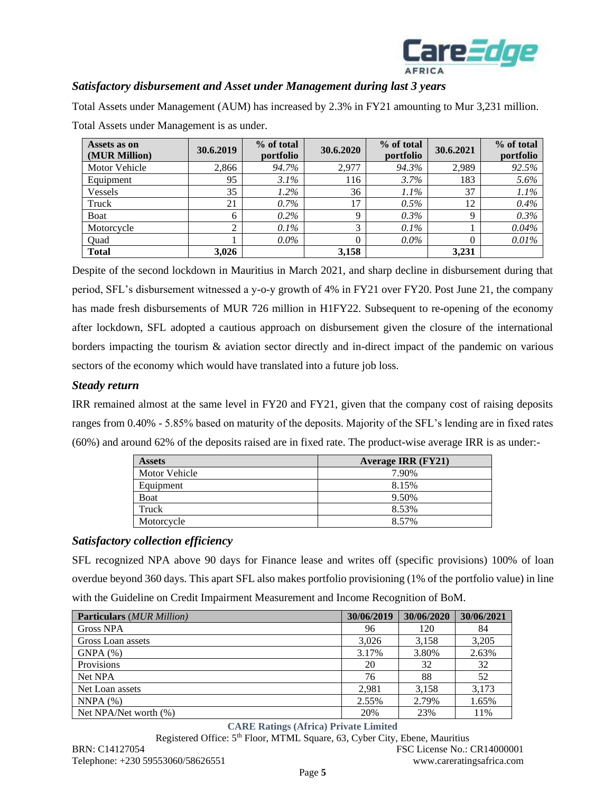

## *Satisfactory disbursement and Asset under Management during last 3 years*

Total Assets under Management (AUM) has increased by 2.3% in FY21 amounting to Mur 3,231 million. Total Assets under Management is as under.

| Assets as on<br>(MUR Million) | 30.6.2019 | % of total<br>portfolio | 30.6.2020 | % of total<br>portfolio | 30.6.2021 | % of total<br>portfolio |
|-------------------------------|-----------|-------------------------|-----------|-------------------------|-----------|-------------------------|
| Motor Vehicle                 | 2,866     | 94.7%                   | 2,977     | 94.3%                   | 2,989     | 92.5%                   |
| Equipment                     | 95        | $3.1\%$                 | 116       | 3.7%                    | 183       | 5.6%                    |
| Vessels                       | 35        | $1.2\%$                 | 36        | $1.1\%$                 | 37        | 1.1%                    |
| Truck                         | 21        | $0.7\%$                 | 17        | 0.5%                    | 12        | 0.4%                    |
| Boat                          | 6         | $0.2\%$                 | Q         | $0.3\%$                 | Q         | 0.3%                    |
| Motorcycle                    |           | 0.1%                    | 3         | 0.1%                    |           | 0.04%                   |
| Quad                          |           | $0.0\%$                 |           | $0.0\%$                 |           | 0.01%                   |
| <b>Total</b>                  | 3,026     |                         | 3,158     |                         | 3,231     |                         |

Despite of the second lockdown in Mauritius in March 2021, and sharp decline in disbursement during that period, SFL's disbursement witnessed a y-o-y growth of 4% in FY21 over FY20. Post June 21, the company has made fresh disbursements of MUR 726 million in H1FY22. Subsequent to re-opening of the economy after lockdown, SFL adopted a cautious approach on disbursement given the closure of the international borders impacting the tourism & aviation sector directly and in-direct impact of the pandemic on various sectors of the economy which would have translated into a future job loss.

### *Steady return*

IRR remained almost at the same level in FY20 and FY21, given that the company cost of raising deposits ranges from 0.40% - 5.85% based on maturity of the deposits. Majority of the SFL's lending are in fixed rates (60%) and around 62% of the deposits raised are in fixed rate. The product-wise average IRR is as under:-

| <b>Assets</b> | <b>Average IRR (FY21)</b> |
|---------------|---------------------------|
| Motor Vehicle | 7.90%                     |
| Equipment     | 8.15%                     |
| <b>Boat</b>   | 9.50%                     |
| Truck         | 8.53%                     |
| Motorcycle    | 8.57%                     |

#### *Satisfactory collection efficiency*

SFL recognized NPA above 90 days for Finance lease and writes off (specific provisions) 100% of loan overdue beyond 360 days. This apart SFL also makes portfolio provisioning (1% of the portfolio value) in line with the Guideline on Credit Impairment Measurement and Income Recognition of BoM.

| <b>Particulars</b> (MUR Million) | 30/06/2019 | 30/06/2020 | 30/06/2021 |
|----------------------------------|------------|------------|------------|
| <b>Gross NPA</b>                 | 96         | 120        | 84         |
| Gross Loan assets                | 3.026      | 3.158      | 3.205      |
| GNPA(%)                          | 3.17%      | 3.80%      | 2.63%      |
| Provisions                       | 20         | 32         | 32         |
| Net NPA                          | 76         | 88         | 52         |
| Net Loan assets                  | 2.981      | 3.158      | 3,173      |
| NNPA(%)                          | 2.55%      | 2.79%      | 1.65%      |
| Net NPA/Net worth (%)            | 20%        | 23%        | 11%        |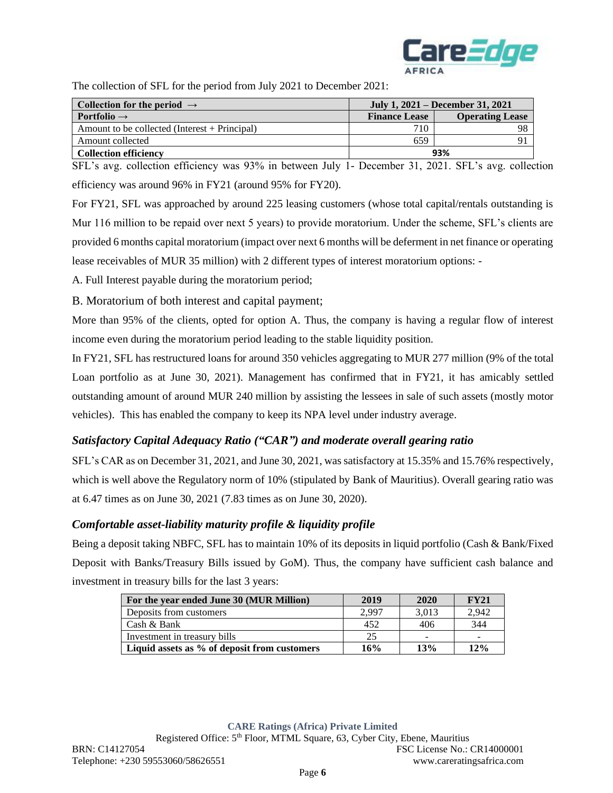

The collection of SFL for the period from July 2021 to December 2021:

| Collection for the period $\rightarrow$         | July 1, 2021 – December 31, 2021 |                        |  |  |
|-------------------------------------------------|----------------------------------|------------------------|--|--|
| <b>Portfolio</b> $\rightarrow$                  | <b>Finance Lease</b>             | <b>Operating Lease</b> |  |  |
| Amount to be collected (Interest $+$ Principal) | 710                              |                        |  |  |
| Amount collected                                | 659                              |                        |  |  |
| <b>Collection efficiency</b>                    | 93%                              |                        |  |  |

SFL's avg. collection efficiency was 93% in between July 1- December 31, 2021. SFL's avg. collection efficiency was around 96% in FY21 (around 95% for FY20).

For FY21, SFL was approached by around 225 leasing customers (whose total capital/rentals outstanding is Mur 116 million to be repaid over next 5 years) to provide moratorium. Under the scheme, SFL's clients are provided 6 months capital moratorium (impact over next 6 months will be deferment in net finance or operating lease receivables of MUR 35 million) with 2 different types of interest moratorium options: -

A. Full Interest payable during the moratorium period;

B. Moratorium of both interest and capital payment;

More than 95% of the clients, opted for option A. Thus, the company is having a regular flow of interest income even during the moratorium period leading to the stable liquidity position.

In FY21, SFL has restructured loans for around 350 vehicles aggregating to MUR 277 million (9% of the total Loan portfolio as at June 30, 2021). Management has confirmed that in FY21, it has amicably settled outstanding amount of around MUR 240 million by assisting the lessees in sale of such assets (mostly motor vehicles). This has enabled the company to keep its NPA level under industry average.

# *Satisfactory Capital Adequacy Ratio ("CAR") and moderate overall gearing ratio*

SFL's CAR as on December 31, 2021, and June 30, 2021, was satisfactory at 15.35% and 15.76% respectively, which is well above the Regulatory norm of 10% (stipulated by Bank of Mauritius). Overall gearing ratio was at 6.47 times as on June 30, 2021 (7.83 times as on June 30, 2020).

### *Comfortable asset-liability maturity profile & liquidity profile*

Being a deposit taking NBFC, SFL has to maintain 10% of its deposits in liquid portfolio (Cash & Bank/Fixed Deposit with Banks/Treasury Bills issued by GoM). Thus, the company have sufficient cash balance and investment in treasury bills for the last 3 years:

| For the year ended June 30 (MUR Million)     | 2019  | 2020                     | <b>FY21</b> |
|----------------------------------------------|-------|--------------------------|-------------|
| Deposits from customers                      | 2.997 | 3,013                    | 2.942       |
| Cash & Bank                                  | 452   | 406                      | 344         |
| Investment in treasury bills                 | 25    | $\overline{\phantom{0}}$ |             |
| Liquid assets as % of deposit from customers | 16%   | 13%                      | 12%         |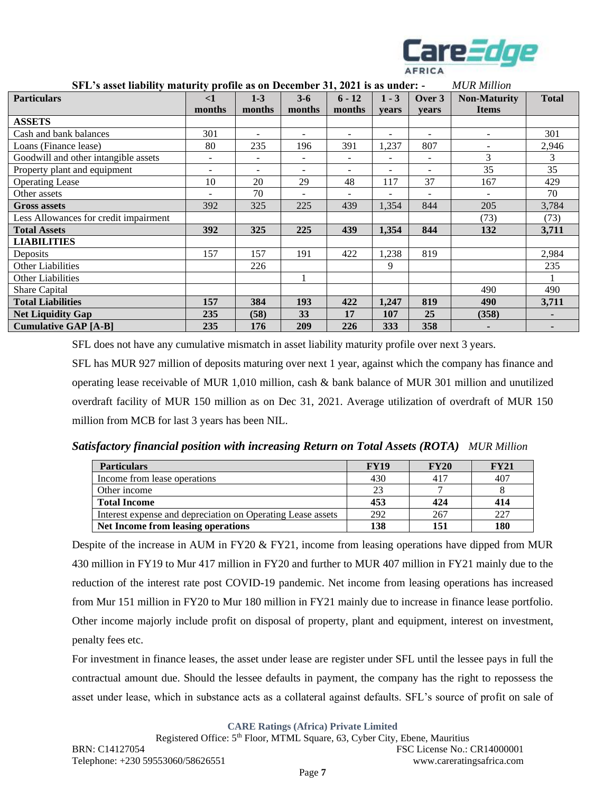

| $STL$ s asset hability maturity profile as on December 31, 2021 is as under, $\cdot$ |                          |                          |                          |                          |                          |        | MUN Muuon                |              |
|--------------------------------------------------------------------------------------|--------------------------|--------------------------|--------------------------|--------------------------|--------------------------|--------|--------------------------|--------------|
| <b>Particulars</b>                                                                   | $\leq$ 1                 | $1 - 3$                  | $3-6$                    | $6 - 12$                 | $1 - 3$                  | Over 3 | <b>Non-Maturity</b>      | <b>Total</b> |
|                                                                                      | months                   | months                   | months                   | months                   | vears                    | years  | <b>Items</b>             |              |
| <b>ASSETS</b>                                                                        |                          |                          |                          |                          |                          |        |                          |              |
| Cash and bank balances                                                               | 301                      | $\overline{\phantom{a}}$ | $\overline{\phantom{a}}$ | $\overline{\phantom{a}}$ | $\overline{\phantom{0}}$ | -      | $\overline{\phantom{a}}$ | 301          |
| Loans (Finance lease)                                                                | 80                       | 235                      | 196                      | 391                      | 1,237                    | 807    |                          | 2,946        |
| Goodwill and other intangible assets                                                 | $\overline{\phantom{a}}$ | $\overline{\phantom{a}}$ | $\overline{\phantom{a}}$ | $\overline{\phantom{a}}$ |                          | -      | 3                        | 3            |
| Property plant and equipment                                                         | $\overline{\phantom{a}}$ | $\overline{\phantom{a}}$ | $\overline{\phantom{a}}$ | $\overline{\phantom{a}}$ | $\overline{\phantom{0}}$ |        | 35                       | 35           |
| <b>Operating Lease</b>                                                               | 10                       | 20                       | 29                       | 48                       | 117                      | 37     | 167                      | 429          |
| Other assets                                                                         | $\overline{\phantom{a}}$ | 70                       | $\overline{\phantom{a}}$ |                          |                          | ۰      |                          | 70           |
| <b>Gross assets</b>                                                                  | 392                      | 325                      | 225                      | 439                      | 1,354                    | 844    | 205                      | 3,784        |
| Less Allowances for credit impairment                                                |                          |                          |                          |                          |                          |        | (73)                     | (73)         |
| <b>Total Assets</b>                                                                  | 392                      | 325                      | 225                      | 439                      | 1,354                    | 844    | 132                      | 3,711        |
| <b>LIABILITIES</b>                                                                   |                          |                          |                          |                          |                          |        |                          |              |
| Deposits                                                                             | 157                      | 157                      | 191                      | 422                      | 1,238                    | 819    |                          | 2,984        |
| <b>Other Liabilities</b>                                                             |                          | 226                      |                          |                          | 9                        |        |                          | 235          |
| <b>Other Liabilities</b>                                                             |                          |                          |                          |                          |                          |        |                          |              |
| Share Capital                                                                        |                          |                          |                          |                          |                          |        | 490                      | 490          |
| <b>Total Liabilities</b>                                                             | 157                      | 384                      | 193                      | 422                      | 1,247                    | 819    | 490                      | 3,711        |
| <b>Net Liquidity Gap</b>                                                             | 235                      | (58)                     | 33                       | 17                       | 107                      | 25     | (358)                    |              |
| <b>Cumulative GAP [A-B]</b>                                                          | 235                      | 176                      | 209                      | 226                      | 333                      | 358    |                          |              |

#### **SFL's asset liability maturity profile as on December 31, 2021 is as under: -** *MUR Million*

SFL does not have any cumulative mismatch in asset liability maturity profile over next 3 years.

SFL has MUR 927 million of deposits maturing over next 1 year, against which the company has finance and operating lease receivable of MUR 1,010 million, cash & bank balance of MUR 301 million and unutilized overdraft facility of MUR 150 million as on Dec 31, 2021. Average utilization of overdraft of MUR 150 million from MCB for last 3 years has been NIL.

*Satisfactory financial position with increasing Return on Total Assets (ROTA) MUR Million*

| <b>Particulars</b>                                          | <b>FY19</b> | <b>FY20</b> | <b>FY21</b> |
|-------------------------------------------------------------|-------------|-------------|-------------|
| Income from lease operations                                | 430         | -417        | 407         |
| Other income                                                | 23          |             |             |
| <b>Total Income</b>                                         | 453         | 424         | 414         |
| Interest expense and depreciation on Operating Lease assets | 292         | 267         | 227         |
| Net Income from leasing operations                          | 138         | 151         | 180         |

Despite of the increase in AUM in FY20 & FY21, income from leasing operations have dipped from MUR 430 million in FY19 to Mur 417 million in FY20 and further to MUR 407 million in FY21 mainly due to the reduction of the interest rate post COVID-19 pandemic. Net income from leasing operations has increased from Mur 151 million in FY20 to Mur 180 million in FY21 mainly due to increase in finance lease portfolio. Other income majorly include profit on disposal of property, plant and equipment, interest on investment, penalty fees etc.

For investment in finance leases, the asset under lease are register under SFL until the lessee pays in full the contractual amount due. Should the lessee defaults in payment, the company has the right to repossess the asset under lease, which in substance acts as a collateral against defaults. SFL's source of profit on sale of

**CARE Ratings (Africa) Private Limited**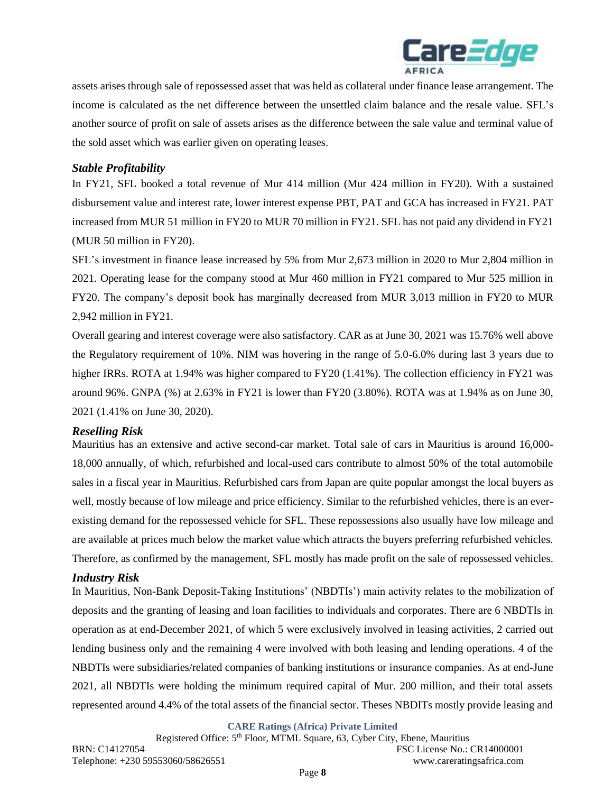

assets arises through sale of repossessed asset that was held as collateral under finance lease arrangement. The income is calculated as the net difference between the unsettled claim balance and the resale value. SFL's another source of profit on sale of assets arises as the difference between the sale value and terminal value of the sold asset which was earlier given on operating leases.

### *Stable Profitability*

In FY21, SFL booked a total revenue of Mur 414 million (Mur 424 million in FY20). With a sustained disbursement value and interest rate, lower interest expense PBT, PAT and GCA has increased in FY21. PAT increased from MUR 51 million in FY20 to MUR 70 million in FY21. SFL has not paid any dividend in FY21 (MUR 50 million in FY20).

SFL's investment in finance lease increased by 5% from Mur 2,673 million in 2020 to Mur 2,804 million in 2021. Operating lease for the company stood at Mur 460 million in FY21 compared to Mur 525 million in FY20. The company's deposit book has marginally decreased from MUR 3,013 million in FY20 to MUR 2,942 million in FY21.

Overall gearing and interest coverage were also satisfactory. CAR as at June 30, 2021 was 15.76% well above the Regulatory requirement of 10%. NIM was hovering in the range of 5.0-6.0% during last 3 years due to higher IRRs. ROTA at 1.94% was higher compared to FY20 (1.41%). The collection efficiency in FY21 was around 96%. GNPA (%) at 2.63% in FY21 is lower than FY20 (3.80%). ROTA was at 1.94% as on June 30, 2021 (1.41% on June 30, 2020).

#### *Reselling Risk*

Mauritius has an extensive and active second-car market. Total sale of cars in Mauritius is around 16,000- 18,000 annually, of which, refurbished and local-used cars contribute to almost 50% of the total automobile sales in a fiscal year in Mauritius. Refurbished cars from Japan are quite popular amongst the local buyers as well, mostly because of low mileage and price efficiency. Similar to the refurbished vehicles, there is an everexisting demand for the repossessed vehicle for SFL. These repossessions also usually have low mileage and are available at prices much below the market value which attracts the buyers preferring refurbished vehicles. Therefore, as confirmed by the management, SFL mostly has made profit on the sale of repossessed vehicles.

#### *Industry Risk*

In Mauritius, Non-Bank Deposit-Taking Institutions' (NBDTIs') main activity relates to the mobilization of deposits and the granting of leasing and loan facilities to individuals and corporates. There are 6 NBDTIs in operation as at end-December 2021, of which 5 were exclusively involved in leasing activities, 2 carried out lending business only and the remaining 4 were involved with both leasing and lending operations. 4 of the NBDTIs were subsidiaries/related companies of banking institutions or insurance companies. As at end-June 2021, all NBDTIs were holding the minimum required capital of Mur. 200 million, and their total assets represented around 4.4% of the total assets of the financial sector. Theses NBDITs mostly provide leasing and

**CARE Ratings (Africa) Private Limited**

Registered Office: 5<sup>th</sup> Floor, MTML Square, 63, Cyber City, Ebene, Mauritius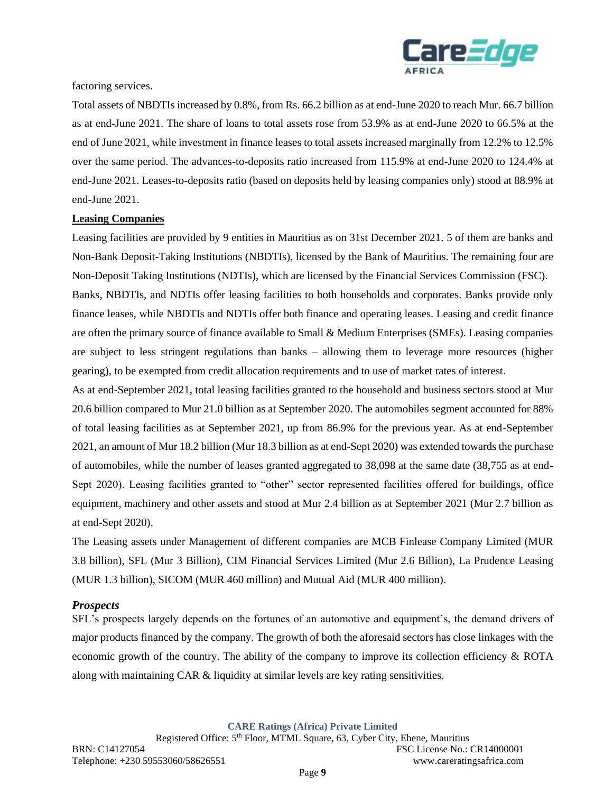

#### factoring services.

Total assets of NBDTIs increased by 0.8%, from Rs. 66.2 billion as at end-June 2020 to reach Mur. 66.7 billion as at end-June 2021. The share of loans to total assets rose from 53.9% as at end-June 2020 to 66.5% at the end of June 2021, while investment in finance leases to total assets increased marginally from 12.2% to 12.5% over the same period. The advances-to-deposits ratio increased from 115.9% at end-June 2020 to 124.4% at end-June 2021. Leases-to-deposits ratio (based on deposits held by leasing companies only) stood at 88.9% at end-June 2021.

### **Leasing Companies**

Leasing facilities are provided by 9 entities in Mauritius as on 31st December 2021. 5 of them are banks and Non-Bank Deposit-Taking Institutions (NBDTIs), licensed by the Bank of Mauritius. The remaining four are Non-Deposit Taking Institutions (NDTIs), which are licensed by the Financial Services Commission (FSC).

Banks, NBDTIs, and NDTIs offer leasing facilities to both households and corporates. Banks provide only finance leases, while NBDTIs and NDTIs offer both finance and operating leases. Leasing and credit finance are often the primary source of finance available to Small & Medium Enterprises (SMEs). Leasing companies are subject to less stringent regulations than banks – allowing them to leverage more resources (higher gearing), to be exempted from credit allocation requirements and to use of market rates of interest.

As at end-September 2021, total leasing facilities granted to the household and business sectors stood at Mur 20.6 billion compared to Mur 21.0 billion as at September 2020. The automobiles segment accounted for 88% of total leasing facilities as at September 2021, up from 86.9% for the previous year. As at end-September 2021, an amount of Mur 18.2 billion (Mur 18.3 billion as at end-Sept 2020) was extended towards the purchase of automobiles, while the number of leases granted aggregated to 38,098 at the same date (38,755 as at end-Sept 2020). Leasing facilities granted to "other" sector represented facilities offered for buildings, office equipment, machinery and other assets and stood at Mur 2.4 billion as at September 2021 (Mur 2.7 billion as at end-Sept 2020).

The Leasing assets under Management of different companies are MCB Finlease Company Limited (MUR 3.8 billion), SFL (Mur 3 Billion), CIM Financial Services Limited (Mur 2.6 Billion), La Prudence Leasing (MUR 1.3 billion), SICOM (MUR 460 million) and Mutual Aid (MUR 400 million).

#### *Prospects*

SFL's prospects largely depends on the fortunes of an automotive and equipment's, the demand drivers of major products financed by the company. The growth of both the aforesaid sectors has close linkages with the economic growth of the country. The ability of the company to improve its collection efficiency & ROTA along with maintaining CAR & liquidity at similar levels are key rating sensitivities.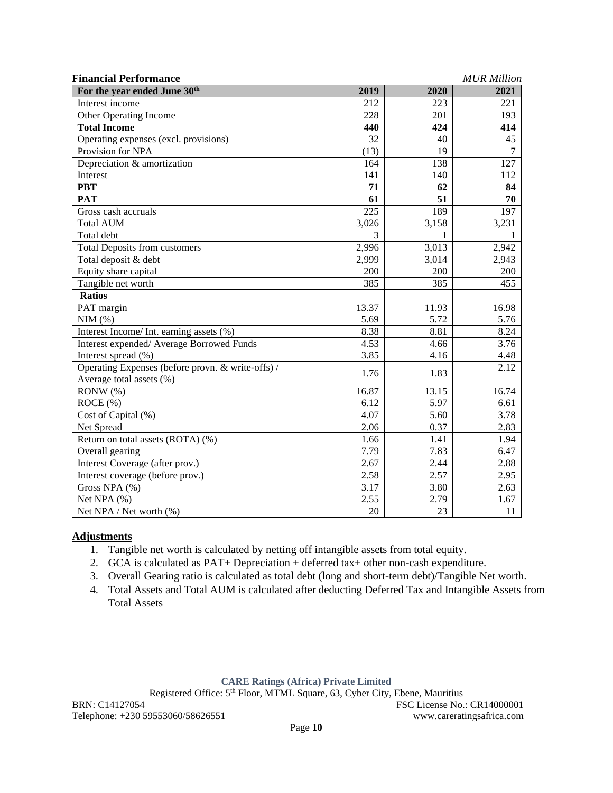| <b>Financial Performance</b>                      |       |       | <b>MUR</b> Million |
|---------------------------------------------------|-------|-------|--------------------|
| For the year ended June 30 <sup>th</sup>          | 2019  | 2020  | 2021               |
| Interest income                                   | 212   | 223   | 221                |
| Other Operating Income                            | 228   | 201   | 193                |
| <b>Total Income</b>                               | 440   | 424   | 414                |
| Operating expenses (excl. provisions)             | 32    | 40    | 45                 |
| Provision for NPA                                 | (13)  | 19    | $\overline{7}$     |
| Depreciation & amortization                       | 164   | 138   | 127                |
| Interest                                          | 141   | 140   | 112                |
| <b>PBT</b>                                        | 71    | 62    | 84                 |
| <b>PAT</b>                                        | 61    | 51    | 70                 |
| Gross cash accruals                               | 225   | 189   | 197                |
| <b>Total AUM</b>                                  | 3,026 | 3,158 | 3,231              |
| Total debt                                        | 3     | 1     |                    |
| <b>Total Deposits from customers</b>              | 2,996 | 3,013 | 2,942              |
| Total deposit & debt                              | 2,999 | 3,014 | 2,943              |
| Equity share capital                              | 200   | 200   | 200                |
| Tangible net worth                                | 385   | 385   | 455                |
| <b>Ratios</b>                                     |       |       |                    |
| PAT margin                                        | 13.37 | 11.93 | 16.98              |
| NIM(%)                                            | 5.69  | 5.72  | 5.76               |
| Interest Income/ Int. earning assets (%)          | 8.38  | 8.81  | 8.24               |
| Interest expended/ Average Borrowed Funds         | 4.53  | 4.66  | 3.76               |
| Interest spread (%)                               | 3.85  | 4.16  | 4.48               |
| Operating Expenses (before provn. & write-offs) / |       |       | 2.12               |
| Average total assets (%)                          | 1.76  | 1.83  |                    |
| RONW (%)                                          | 16.87 | 13.15 | 16.74              |
| ROCE (%)                                          | 6.12  | 5.97  | 6.61               |
| Cost of Capital (%)                               | 4.07  | 5.60  | 3.78               |
| Net Spread                                        | 2.06  | 0.37  | 2.83               |
| Return on total assets (ROTA) (%)                 | 1.66  | 1.41  | 1.94               |
| Overall gearing                                   | 7.79  | 7.83  | 6.47               |
| Interest Coverage (after prov.)                   | 2.67  | 2.44  | 2.88               |
| Interest coverage (before prov.)                  | 2.58  | 2.57  | 2.95               |
| Gross NPA (%)                                     | 3.17  | 3.80  | 2.63               |
| Net NPA (%)                                       | 2.55  | 2.79  | 1.67               |
| Net NPA / Net worth (%)                           | 20    | 23    | 11                 |

### **Adjustments**

- 1. Tangible net worth is calculated by netting off intangible assets from total equity.
- 2. GCA is calculated as PAT+ Depreciation + deferred tax+ other non-cash expenditure.
- 3. Overall Gearing ratio is calculated as total debt (long and short-term debt)/Tangible Net worth.
- 4. Total Assets and Total AUM is calculated after deducting Deferred Tax and Intangible Assets from Total Assets

#### **CARE Ratings (Africa) Private Limited**

Registered Office: 5<sup>th</sup> Floor, MTML Square, 63, Cyber City, Ebene, Mauritius

BRN: C14127054 FSC License No.: CR14000001 Telephone: +230 59553060/58626551 www.careratingsafrica.com